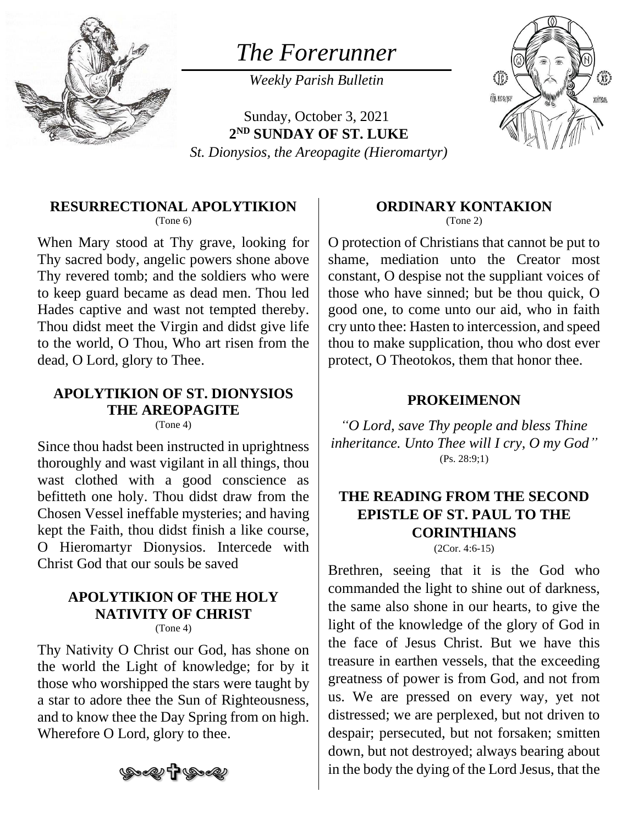

# *The Forerunner*

*Weekly Parish Bulletin*

Sunday, October 3, 2021 **2 ND SUNDAY OF ST. LUKE** *St. Dionysios, the Areopagite (Hieromartyr)*



#### **RESURRECTIONAL APOLYTIKION**

(Tone 6)

When Mary stood at Thy grave, looking for Thy sacred body, angelic powers shone above Thy revered tomb; and the soldiers who were to keep guard became as dead men. Thou led Hades captive and wast not tempted thereby. Thou didst meet the Virgin and didst give life to the world, O Thou, Who art risen from the dead, O Lord, glory to Thee.

### **APOLYTIKION OF ST. DIONYSIOS THE AREOPAGITE**

(Tone 4)

Since thou hadst been instructed in uprightness thoroughly and wast vigilant in all things, thou wast clothed with a good conscience as befitteth one holy. Thou didst draw from the Chosen Vessel ineffable mysteries; and having kept the Faith, thou didst finish a like course, O Hieromartyr Dionysios. Intercede with Christ God that our souls be saved

#### **APOLYTIKION OF THE HOLY NATIVITY OF CHRIST**  $(Tone 4)$

Thy Nativity O Christ our God, has shone on the world the Light of knowledge; for by it those who worshipped the stars were taught by a star to adore thee the Sun of Righteousness, and to know thee the Day Spring from on high. Wherefore O Lord, glory to thee.



#### **ORDINARY KONTAKION**

(Tone 2)

O protection of Christians that cannot be put to shame, mediation unto the Creator most constant, O despise not the suppliant voices of those who have sinned; but be thou quick, O good one, to come unto our aid, who in faith cry unto thee: Hasten to intercession, and speed thou to make supplication, thou who dost ever protect, O Theotokos, them that honor thee.

#### **PROKEIMENON**

*"O Lord, save Thy people and bless Thine inheritance. Unto Thee will I cry, O my God"* (Ps. 28:9;1)

## **THE READING FROM THE SECOND EPISTLE OF ST. PAUL TO THE CORINTHIANS**

(2Cor. 4:6-15)

Brethren, seeing that it is the God who commanded the light to shine out of darkness, the same also shone in our hearts, to give the light of the knowledge of the glory of God in the face of Jesus Christ. But we have this treasure in earthen vessels, that the exceeding greatness of power is from God, and not from us. We are pressed on every way, yet not distressed; we are perplexed, but not driven to despair; persecuted, but not forsaken; smitten down, but not destroyed; always bearing about in the body the dying of the Lord Jesus, that the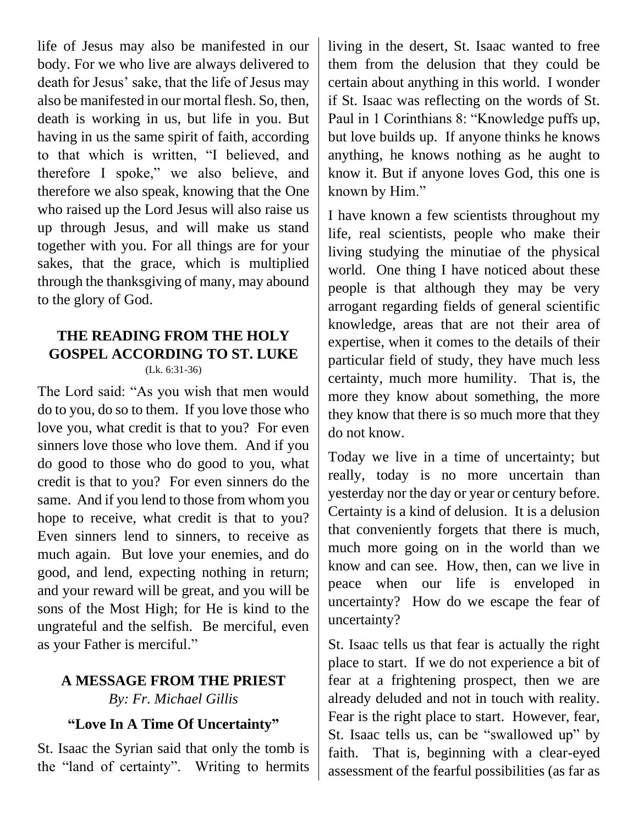life of Jesus may also be manifested in our body. For we who live are always delivered to death for Jesus' sake, that the life of Jesus may also be manifested in our mortal flesh. So, then, death is working in us, but life in you. But having in us the same spirit of faith, according to that which is written, "I believed, and therefore I spoke," we also believe, and therefore we also speak, knowing that the One who raised up the Lord Jesus will also raise us up through Jesus, and will make us stand together with you. For all things are for your sakes, that the grace, which is multiplied through the thanksgiving of many, may abound to the glory of God.

### **THE READING FROM THE HOLY GOSPEL ACCORDING TO ST. LUKE** (Lk. 6:31-36)

The Lord said: "As you wish that men would do to you, do so to them. If you love those who love you, what credit is that to you? For even sinners love those who love them. And if you do good to those who do good to you, what credit is that to you? For even sinners do the same. And if you lend to those from whom you hope to receive, what credit is that to you? Even sinners lend to sinners, to receive as much again. But love your enemies, and do good, and lend, expecting nothing in return; and your reward will be great, and you will be sons of the Most High; for He is kind to the ungrateful and the selfish. Be merciful, even as your Father is merciful."

### **A MESSAGE FROM THE PRIEST** *By: Fr. Michael Gillis*

# **"Love In A Time Of Uncertainty"**

St. Isaac the Syrian said that only the tomb is the "land of certainty". Writing to hermits

living in the desert, St. Isaac wanted to free them from the delusion that they could be certain about anything in this world. I wonder if St. Isaac was reflecting on the words of St. Paul in 1 Corinthians 8: "Knowledge puffs up, but love builds up. If anyone thinks he knows anything, he knows nothing as he aught to know it. But if anyone loves God, this one is known by Him."

I have known a few scientists throughout my life, real scientists, people who make their living studying the minutiae of the physical world. One thing I have noticed about these people is that although they may be very arrogant regarding fields of general scientific knowledge, areas that are not their area of expertise, when it comes to the details of their particular field of study, they have much less certainty, much more humility. That is, the more they know about something, the more they know that there is so much more that they do not know.

Today we live in a time of uncertainty; but really, today is no more uncertain than yesterday nor the day or year or century before. Certainty is a kind of delusion. It is a delusion that conveniently forgets that there is much, much more going on in the world than we know and can see. How, then, can we live in peace when our life is enveloped in uncertainty? How do we escape the fear of uncertainty?

St. Isaac tells us that fear is actually the right place to start. If we do not experience a bit of fear at a frightening prospect, then we are already deluded and not in touch with reality. Fear is the right place to start. However, fear, St. Isaac tells us, can be "swallowed up" by faith. That is, beginning with a clear-eyed assessment of the fearful possibilities (as far as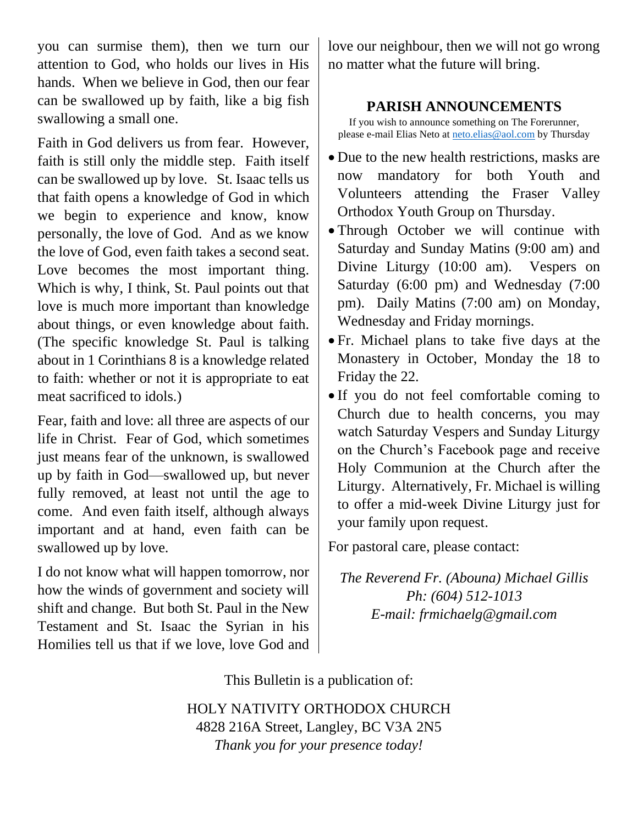you can surmise them), then we turn our attention to God, who holds our lives in His hands. When we believe in God, then our fear can be swallowed up by faith, like a big fish swallowing a small one.

Faith in God delivers us from fear. However, faith is still only the middle step. Faith itself can be swallowed up by love. St. Isaac tells us that faith opens a knowledge of God in which we begin to experience and know, know personally, the love of God. And as we know the love of God, even faith takes a second seat. Love becomes the most important thing. Which is why, I think, St. Paul points out that love is much more important than knowledge about things, or even knowledge about faith. (The specific knowledge St. Paul is talking about in 1 Corinthians 8 is a knowledge related to faith: whether or not it is appropriate to eat meat sacrificed to idols.)

Fear, faith and love: all three are aspects of our life in Christ. Fear of God, which sometimes just means fear of the unknown, is swallowed up by faith in God—swallowed up, but never fully removed, at least not until the age to come. And even faith itself, although always important and at hand, even faith can be swallowed up by love.

I do not know what will happen tomorrow, nor how the winds of government and society will shift and change. But both St. Paul in the New Testament and St. Isaac the Syrian in his Homilies tell us that if we love, love God and

love our neighbour, then we will not go wrong no matter what the future will bring.

### **PARISH ANNOUNCEMENTS**

If you wish to announce something on The Forerunner, please e-mail Elias Neto at [neto.elias@aol.com](mailto:neto.elias@aol.com) by Thursday

- Due to the new health restrictions, masks are now mandatory for both Youth and Volunteers attending the Fraser Valley Orthodox Youth Group on Thursday.
- Through October we will continue with Saturday and Sunday Matins (9:00 am) and Divine Liturgy (10:00 am). Vespers on Saturday (6:00 pm) and Wednesday (7:00 pm). Daily Matins (7:00 am) on Monday, Wednesday and Friday mornings.
- Fr. Michael plans to take five days at the Monastery in October, Monday the 18 to Friday the 22.
- If you do not feel comfortable coming to Church due to health concerns, you may watch Saturday Vespers and Sunday Liturgy on the Church's Facebook page and receive Holy Communion at the Church after the Liturgy. Alternatively, Fr. Michael is willing to offer a mid-week Divine Liturgy just for your family upon request.

For pastoral care, please contact:

*The Reverend Fr. (Abouna) Michael Gillis Ph: (604) 512-1013 E-mail: frmichaelg@gmail.com*

This Bulletin is a publication of:

HOLY NATIVITY ORTHODOX CHURCH 4828 216A Street, Langley, BC V3A 2N5 *Thank you for your presence today!*